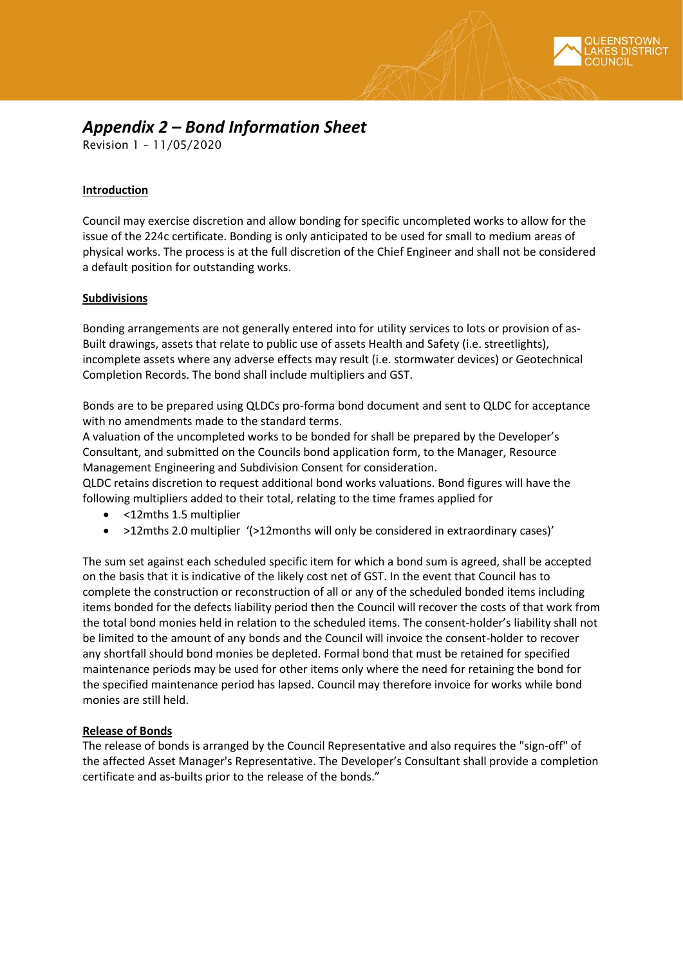## *Appendix 2 – Bond Information Sheet*

Revision 1 – 11/05/2020

## **Introduction**

Council may exercise discretion and allow bonding for specific uncompleted works to allow for the issue of the 224c certificate. Bonding is only anticipated to be used for small to medium areas of physical works. The process is at the full discretion of the Chief Engineer and shall not be considered a default position for outstanding works.

## **Subdivisions**

Bonding arrangements are not generally entered into for utility services to lots or provision of as-Built drawings, assets that relate to public use of assets Health and Safety (i.e. streetlights), incomplete assets where any adverse effects may result (i.e. stormwater devices) or Geotechnical Completion Records. The bond shall include multipliers and GST.

Bonds are to be prepared using QLDCs pro-forma bond document and sent to QLDC for acceptance with no amendments made to the standard terms.

A valuation of the uncompleted works to be bonded for shall be prepared by the Developer's Consultant, and submitted on the Councils bond application form, to the Manager, Resource Management Engineering and Subdivision Consent for consideration.

QLDC retains discretion to request additional bond works valuations. Bond figures will have the following multipliers added to their total, relating to the time frames applied for

- <12mths 1.5 multiplier
- >12mths 2.0 multiplier '(>12months will only be considered in extraordinary cases)'

The sum set against each scheduled specific item for which a bond sum is agreed, shall be accepted on the basis that it is indicative of the likely cost net of GST. In the event that Council has to complete the construction or reconstruction of all or any of the scheduled bonded items including items bonded for the defects liability period then the Council will recover the costs of that work from the total bond monies held in relation to the scheduled items. The consent-holder's liability shall not be limited to the amount of any bonds and the Council will invoice the consent-holder to recover any shortfall should bond monies be depleted. Formal bond that must be retained for specified maintenance periods may be used for other items only where the need for retaining the bond for the specified maintenance period has lapsed. Council may therefore invoice for works while bond monies are still held.

## **Release of Bonds**

The release of bonds is arranged by the Council Representative and also requires the "sign-off" of the affected Asset Manager's Representative. The Developer's Consultant shall provide a completion certificate and as-builts prior to the release of the bonds."